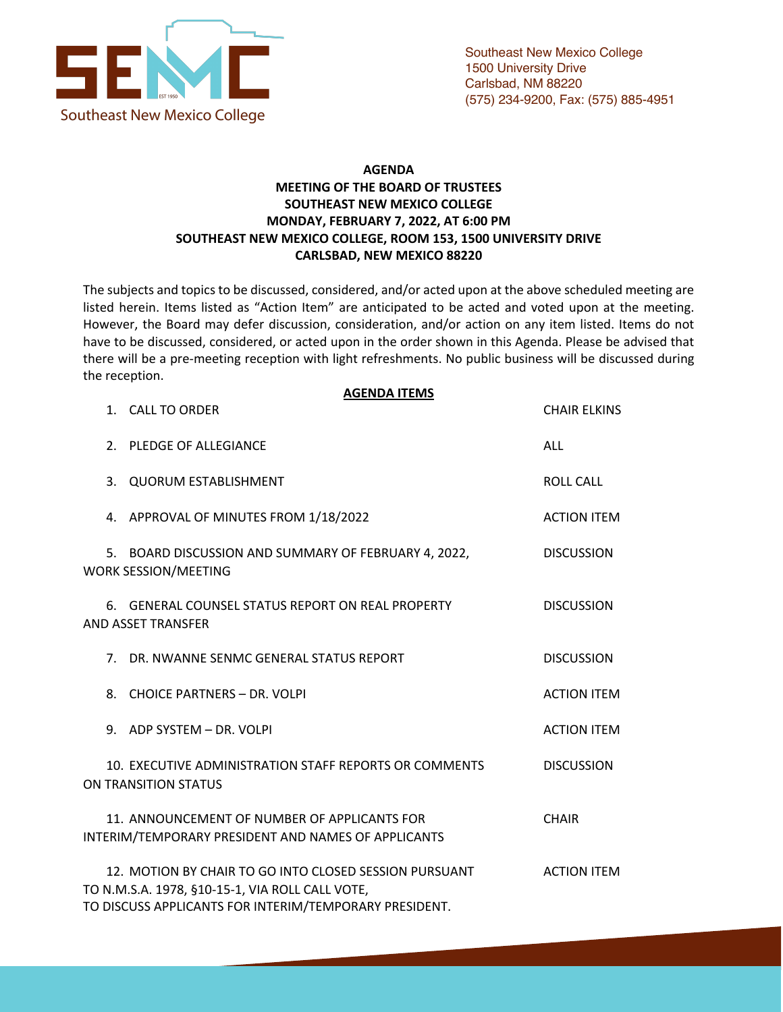

## **AGENDA MEETING OF THE BOARD OF TRUSTEES SOUTHEAST NEW MEXICO COLLEGE MONDAY, FEBRUARY 7, 2022, AT 6:00 PM SOUTHEAST NEW MEXICO COLLEGE, ROOM 153, 1500 UNIVERSITY DRIVE CARLSBAD, NEW MEXICO 88220**

The subjects and topics to be discussed, considered, and/or acted upon at the above scheduled meeting are listed herein. Items listed as "Action Item" are anticipated to be acted and voted upon at the meeting. However, the Board may defer discussion, consideration, and/or action on any item listed. Items do not have to be discussed, considered, or acted upon in the order shown in this Agenda. Please be advised that there will be a pre-meeting reception with light refreshments. No public business will be discussed during the reception.

**AGENDA ITEMS**

| 1. CALL TO ORDER                                                                                                                                                    | <b>CHAIR ELKINS</b> |
|---------------------------------------------------------------------------------------------------------------------------------------------------------------------|---------------------|
| 2. PLEDGE OF ALLEGIANCE                                                                                                                                             | <b>ALL</b>          |
| 3. QUORUM ESTABLISHMENT                                                                                                                                             | <b>ROLL CALL</b>    |
| 4. APPROVAL OF MINUTES FROM 1/18/2022                                                                                                                               | <b>ACTION ITEM</b>  |
| 5. BOARD DISCUSSION AND SUMMARY OF FEBRUARY 4, 2022,<br><b>WORK SESSION/MEETING</b>                                                                                 | <b>DISCUSSION</b>   |
| 6. GENERAL COUNSEL STATUS REPORT ON REAL PROPERTY<br>AND ASSET TRANSFER                                                                                             | <b>DISCUSSION</b>   |
| 7. DR. NWANNE SENMC GENERAL STATUS REPORT                                                                                                                           | <b>DISCUSSION</b>   |
| 8. CHOICE PARTNERS - DR. VOLPI                                                                                                                                      | <b>ACTION ITEM</b>  |
| 9. ADP SYSTEM - DR. VOLPI                                                                                                                                           | <b>ACTION ITEM</b>  |
| 10. EXECUTIVE ADMINISTRATION STAFF REPORTS OR COMMENTS<br>ON TRANSITION STATUS                                                                                      | <b>DISCUSSION</b>   |
| 11. ANNOUNCEMENT OF NUMBER OF APPLICANTS FOR<br>INTERIM/TEMPORARY PRESIDENT AND NAMES OF APPLICANTS                                                                 | <b>CHAIR</b>        |
| 12. MOTION BY CHAIR TO GO INTO CLOSED SESSION PURSUANT<br>TO N.M.S.A. 1978, §10-15-1, VIA ROLL CALL VOTE,<br>TO DISCUSS APPLICANTS FOR INTERIM/TEMPORARY PRESIDENT. | <b>ACTION ITEM</b>  |